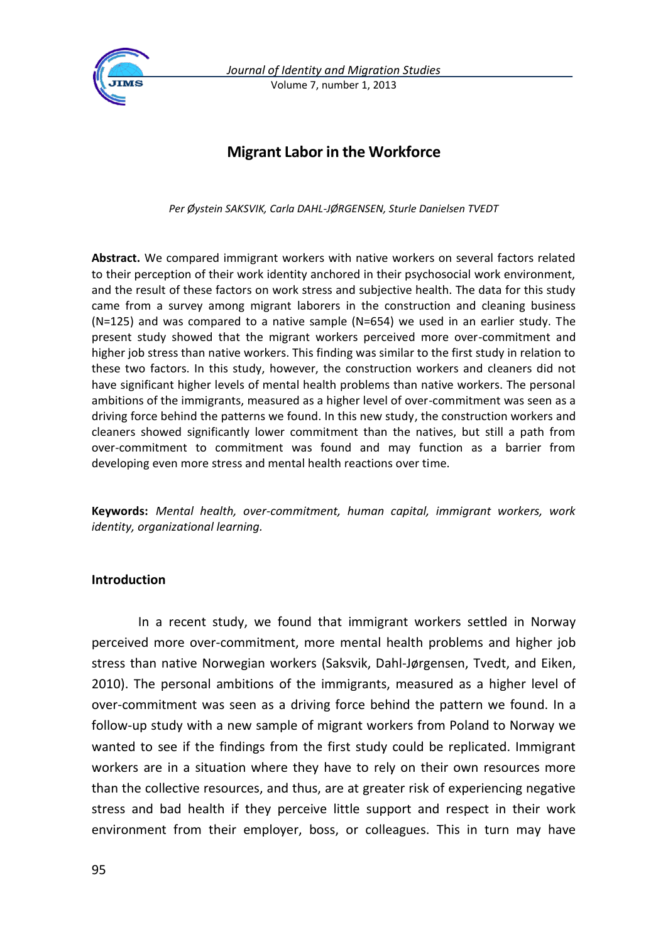

*Journal of Identity and Migration Studies* Volume 7, number 1, 2013

# **Migrant Labor in the Workforce**

*Per Øystein SAKSVIK, Carla DAHL-JØRGENSEN, Sturle Danielsen TVEDT*

**Abstract.** We compared immigrant workers with native workers on several factors related to their perception of their work identity anchored in their psychosocial work environment, and the result of these factors on work stress and subjective health. The data for this study came from a survey among migrant laborers in the construction and cleaning business (N=125) and was compared to a native sample (N=654) we used in an earlier study. The present study showed that the migrant workers perceived more over-commitment and higher job stress than native workers. This finding was similar to the first study in relation to these two factors. In this study, however, the construction workers and cleaners did not have significant higher levels of mental health problems than native workers. The personal ambitions of the immigrants, measured as a higher level of over-commitment was seen as a driving force behind the patterns we found. In this new study, the construction workers and cleaners showed significantly lower commitment than the natives, but still a path from over-commitment to commitment was found and may function as a barrier from developing even more stress and mental health reactions over time.

**Keywords:** *Mental health, over-commitment, human capital, immigrant workers, work identity, organizational learning.*

### **Introduction**

In a recent study, we found that immigrant workers settled in Norway perceived more over-commitment, more mental health problems and higher job stress than native Norwegian workers (Saksvik, Dahl-Jørgensen, Tvedt, and Eiken, 2010). The personal ambitions of the immigrants, measured as a higher level of over-commitment was seen as a driving force behind the pattern we found. In a follow-up study with a new sample of migrant workers from Poland to Norway we wanted to see if the findings from the first study could be replicated. Immigrant workers are in a situation where they have to rely on their own resources more than the collective resources, and thus, are at greater risk of experiencing negative stress and bad health if they perceive little support and respect in their work environment from their employer, boss, or colleagues. This in turn may have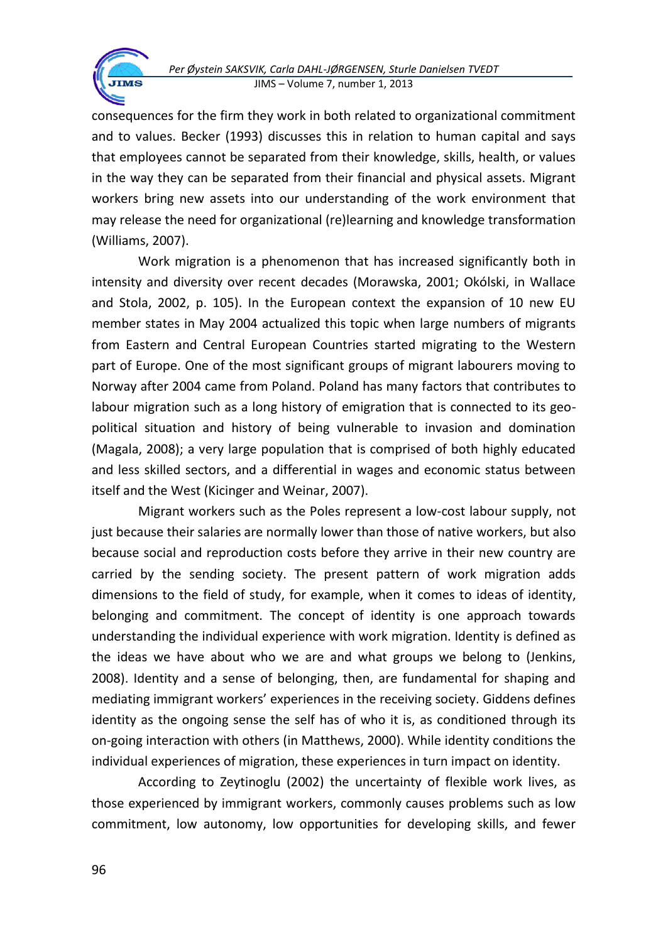

Work migration is a phenomenon that has increased significantly both in intensity and diversity over recent decades (Morawska, 2001; Okólski, in Wallace and Stola, 2002, p. 105). In the European context the expansion of 10 new EU member states in May 2004 actualized this topic when large numbers of migrants from Eastern and Central European Countries started migrating to the Western part of Europe. One of the most significant groups of migrant labourers moving to Norway after 2004 came from Poland. Poland has many factors that contributes to labour migration such as a long history of emigration that is connected to its geopolitical situation and history of being vulnerable to invasion and domination (Magala, 2008); a very large population that is comprised of both highly educated and less skilled sectors, and a differential in wages and economic status between itself and the West (Kicinger and Weinar, 2007).

Migrant workers such as the Poles represent a low-cost labour supply, not just because their salaries are normally lower than those of native workers, but also because social and reproduction costs before they arrive in their new country are carried by the sending society. The present pattern of work migration adds dimensions to the field of study, for example, when it comes to ideas of identity, belonging and commitment. The concept of identity is one approach towards understanding the individual experience with work migration. Identity is defined as the ideas we have about who we are and what groups we belong to (Jenkins, 2008). Identity and a sense of belonging, then, are fundamental for shaping and mediating immigrant workers' experiences in the receiving society. Giddens defines identity as the ongoing sense the self has of who it is, as conditioned through its on-going interaction with others (in Matthews, 2000). While identity conditions the individual experiences of migration, these experiences in turn impact on identity.

According to Zeytinoglu (2002) the uncertainty of flexible work lives, as those experienced by immigrant workers, commonly causes problems such as low commitment, low autonomy, low opportunities for developing skills, and fewer

**JIMS**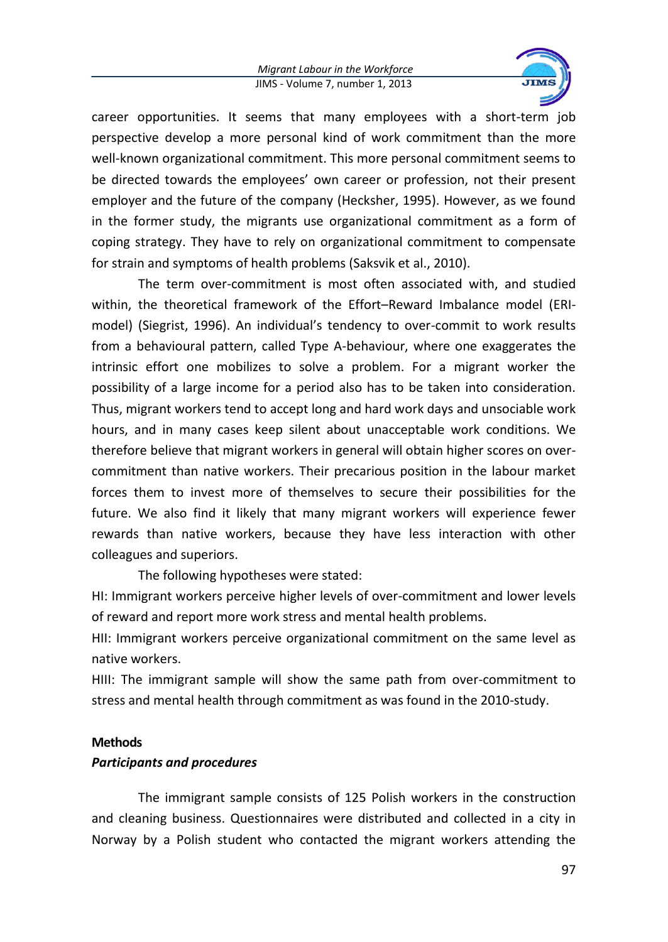

career opportunities. It seems that many employees with a short-term job perspective develop a more personal kind of work commitment than the more well-known organizational commitment. This more personal commitment seems to be directed towards the employees' own career or profession, not their present employer and the future of the company (Hecksher, 1995). However, as we found in the former study, the migrants use organizational commitment as a form of coping strategy. They have to rely on organizational commitment to compensate for strain and symptoms of health problems (Saksvik et al., 2010).

The term over-commitment is most often associated with, and studied within, the theoretical framework of the Effort–Reward Imbalance model (ERImodel) (Siegrist, 1996). An individual's tendency to over-commit to work results from a behavioural pattern, called Type A-behaviour, where one exaggerates the intrinsic effort one mobilizes to solve a problem. For a migrant worker the possibility of a large income for a period also has to be taken into consideration. Thus, migrant workers tend to accept long and hard work days and unsociable work hours, and in many cases keep silent about unacceptable work conditions. We therefore believe that migrant workers in general will obtain higher scores on overcommitment than native workers. Their precarious position in the labour market forces them to invest more of themselves to secure their possibilities for the future. We also find it likely that many migrant workers will experience fewer rewards than native workers, because they have less interaction with other colleagues and superiors.

The following hypotheses were stated:

HI: Immigrant workers perceive higher levels of over-commitment and lower levels of reward and report more work stress and mental health problems.

HII: Immigrant workers perceive organizational commitment on the same level as native workers.

HIII: The immigrant sample will show the same path from over-commitment to stress and mental health through commitment as was found in the 2010-study.

### **Methods**

# *Participants and procedures*

The immigrant sample consists of 125 Polish workers in the construction and cleaning business. Questionnaires were distributed and collected in a city in Norway by a Polish student who contacted the migrant workers attending the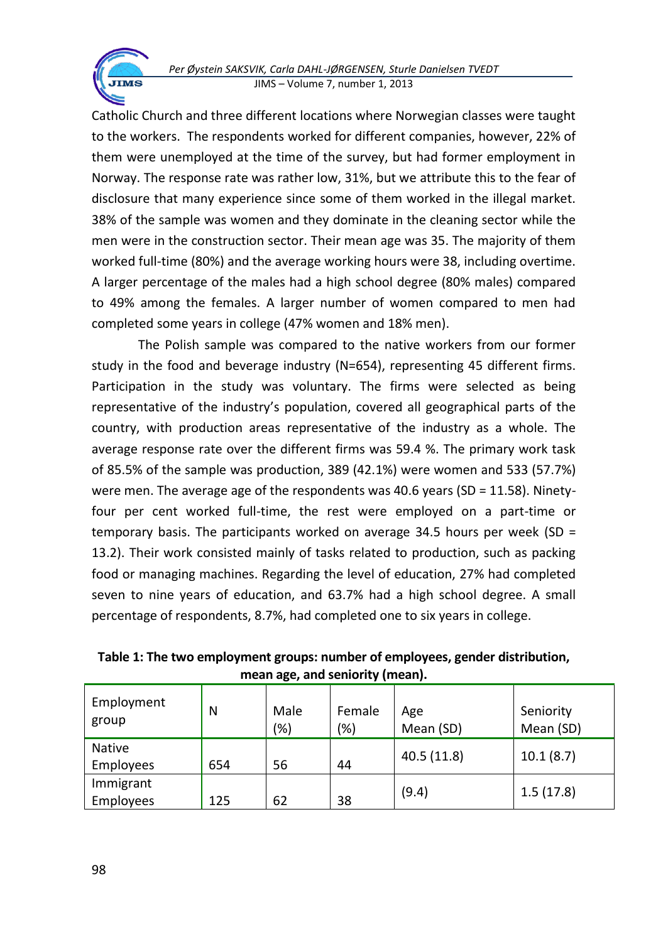Catholic Church and three different locations where Norwegian classes were taught to the workers. The respondents worked for different companies, however, 22% of them were unemployed at the time of the survey, but had former employment in Norway. The response rate was rather low, 31%, but we attribute this to the fear of disclosure that many experience since some of them worked in the illegal market. 38% of the sample was women and they dominate in the cleaning sector while the men were in the construction sector. Their mean age was 35. The majority of them worked full-time (80%) and the average working hours were 38, including overtime. A larger percentage of the males had a high school degree (80% males) compared to 49% among the females. A larger number of women compared to men had completed some years in college (47% women and 18% men).

The Polish sample was compared to the native workers from our former study in the food and beverage industry (N=654), representing 45 different firms. Participation in the study was voluntary. The firms were selected as being representative of the industry's population, covered all geographical parts of the country, with production areas representative of the industry as a whole. The average response rate over the different firms was 59.4 %. The primary work task of 85.5% of the sample was production, 389 (42.1%) were women and 533 (57.7%) were men. The average age of the respondents was 40.6 years (SD =  $11.58$ ). Ninetyfour per cent worked full-time, the rest were employed on a part-time or temporary basis. The participants worked on average 34.5 hours per week (SD  $=$ 13.2). Their work consisted mainly of tasks related to production, such as packing food or managing machines. Regarding the level of education, 27% had completed seven to nine years of education, and 63.7% had a high school degree. A small percentage of respondents, 8.7%, had completed one to six years in college.

| Employment<br>group    | N   | Male<br>(%) | Female<br>(%) | Age<br>Mean (SD) | Seniority<br>Mean (SD) |
|------------------------|-----|-------------|---------------|------------------|------------------------|
| Native<br>Employees    | 654 | 56          | 44            | 40.5(11.8)       | 10.1(8.7)              |
| Immigrant<br>Employees | 125 | 62          | 38            | (9.4)            | 1.5(17.8)              |

**Table 1: The two employment groups: number of employees, gender distribution, mean age, and seniority (mean).**

**TIMS**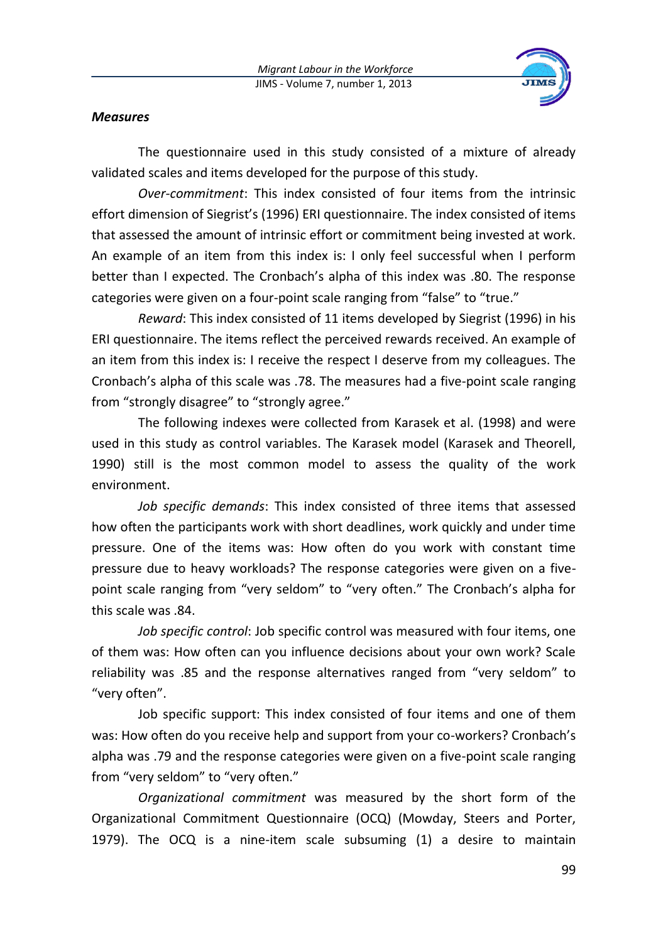

## *Measures*

The questionnaire used in this study consisted of a mixture of already validated scales and items developed for the purpose of this study.

*Over-commitment*: This index consisted of four items from the intrinsic effort dimension of Siegrist's (1996) ERI questionnaire. The index consisted of items that assessed the amount of intrinsic effort or commitment being invested at work. An example of an item from this index is: I only feel successful when I perform better than I expected. The Cronbach's alpha of this index was .80. The response categories were given on a four-point scale ranging from "false" to "true."

*Reward*: This index consisted of 11 items developed by Siegrist (1996) in his ERI questionnaire. The items reflect the perceived rewards received. An example of an item from this index is: I receive the respect I deserve from my colleagues. The Cronbach's alpha of this scale was .78. The measures had a five-point scale ranging from "strongly disagree" to "strongly agree."

The following indexes were collected from Karasek et al. (1998) and were used in this study as control variables. The Karasek model (Karasek and Theorell, 1990) still is the most common model to assess the quality of the work environment.

*Job specific demands*: This index consisted of three items that assessed how often the participants work with short deadlines, work quickly and under time pressure. One of the items was: How often do you work with constant time pressure due to heavy workloads? The response categories were given on a fivepoint scale ranging from "very seldom" to "very often." The Cronbach's alpha for this scale was .84.

*Job specific control*: Job specific control was measured with four items, one of them was: How often can you influence decisions about your own work? Scale reliability was .85 and the response alternatives ranged from "very seldom" to "very often".

Job specific support: This index consisted of four items and one of them was: How often do you receive help and support from your co-workers? Cronbach's alpha was .79 and the response categories were given on a five-point scale ranging from "very seldom" to "very often."

*Organizational commitment* was measured by the short form of the Organizational Commitment Questionnaire (OCQ) (Mowday, Steers and Porter, 1979). The OCQ is a nine-item scale subsuming (1) a desire to maintain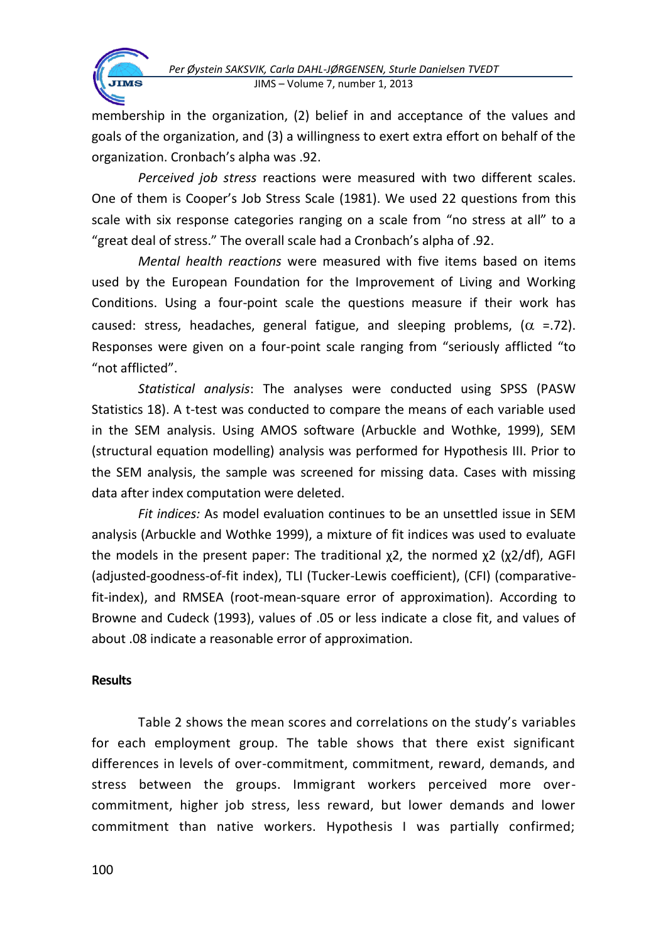

membership in the organization, (2) belief in and acceptance of the values and goals of the organization, and (3) a willingness to exert extra effort on behalf of the organization. Cronbach's alpha was .92.

*Perceived job stress* reactions were measured with two different scales. One of them is Cooper's Job Stress Scale (1981). We used 22 questions from this scale with six response categories ranging on a scale from "no stress at all" to a "great deal of stress." The overall scale had a Cronbach's alpha of .92.

*Mental health reactions* were measured with five items based on items used by the European Foundation for the Improvement of Living and Working Conditions. Using a four-point scale the questions measure if their work has caused: stress, headaches, general fatigue, and sleeping problems,  $(\alpha = 72)$ . Responses were given on a four-point scale ranging from "seriously afflicted "to "not afflicted".

*Statistical analysis*: The analyses were conducted using SPSS (PASW Statistics 18). A t-test was conducted to compare the means of each variable used in the SEM analysis. Using AMOS software (Arbuckle and Wothke, 1999), SEM (structural equation modelling) analysis was performed for Hypothesis III. Prior to the SEM analysis, the sample was screened for missing data. Cases with missing data after index computation were deleted.

*Fit indices:* As model evaluation continues to be an unsettled issue in SEM analysis (Arbuckle and Wothke 1999), a mixture of fit indices was used to evaluate the models in the present paper: The traditional  $\chi$ 2, the normed  $\chi$ 2 ( $\chi$ 2/df), AGFI (adjusted-goodness-of-fit index), TLI (Tucker-Lewis coefficient), (CFI) (comparativefit-index), and RMSEA (root-mean-square error of approximation). According to Browne and Cudeck (1993), values of .05 or less indicate a close fit, and values of about .08 indicate a reasonable error of approximation.

## **Results**

**TIMS** 

Table 2 shows the mean scores and correlations on the study's variables for each employment group. The table shows that there exist significant differences in levels of over-commitment, commitment, reward, demands, and stress between the groups. Immigrant workers perceived more overcommitment, higher job stress, less reward, but lower demands and lower commitment than native workers. Hypothesis I was partially confirmed;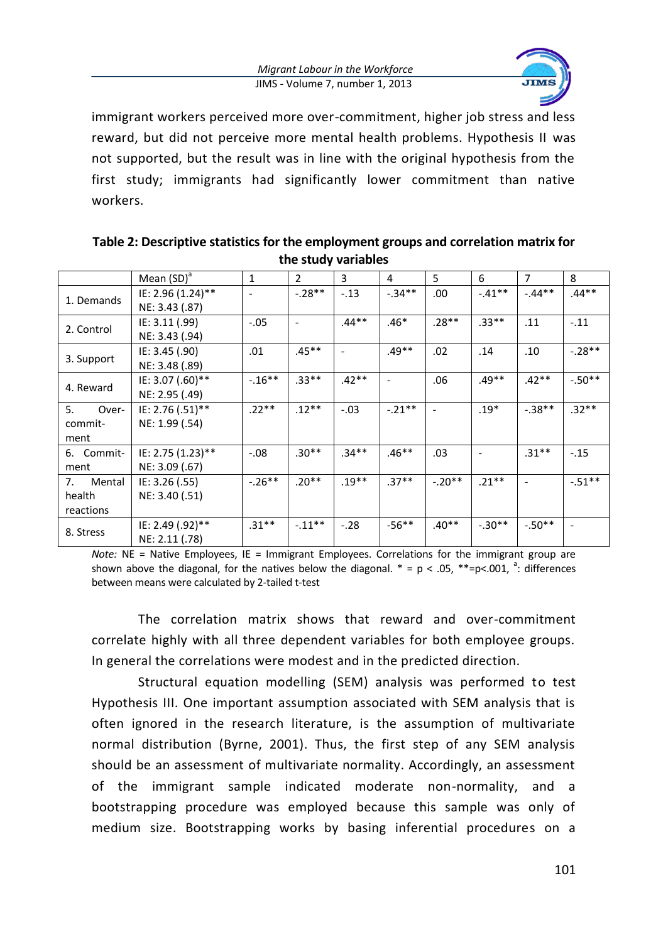

immigrant workers perceived more over-commitment, higher job stress and less reward, but did not perceive more mental health problems. Hypothesis II was not supported, but the result was in line with the original hypothesis from the first study; immigrants had significantly lower commitment than native workers.

|                           | Mean $(SD)^a$     | $\mathbf{1}$ | $\overline{2}$           | 3       | 4         | 5.       | 6        | $\overline{7}$ | 8        |
|---------------------------|-------------------|--------------|--------------------------|---------|-----------|----------|----------|----------------|----------|
| 1. Demands                | IE: 2.96 (1.24)** | ۰            | $-.28**$                 | $-.13$  | $-.34**$  | .00      | $-41**$  | $-.44**$       | $.44**$  |
|                           | NE: 3.43 (.87)    |              |                          |         |           |          |          |                |          |
| 2. Control                | IE: 3.11 (.99)    | $-.05$       | $\overline{\phantom{a}}$ | $.44**$ | $.46*$    | $.28**$  | $.33***$ | .11            | $-.11$   |
|                           | NE: 3.43 (.94)    |              |                          |         |           |          |          |                |          |
| 3. Support                | IE: 3.45 (.90)    | .01          | $.45**$                  |         | $.49**$   | .02      | .14      | .10            | $-.28**$ |
|                           | NE: 3.48 (.89)    |              |                          |         |           |          |          |                |          |
| 4. Reward                 | IE: 3.07 (.60)**  | $-.16***$    | $.33**$                  | $.42**$ |           | .06      | $.49**$  | $.42**$        | $-.50**$ |
|                           | NE: 2.95 (.49)    |              |                          |         |           |          |          |                |          |
| 5.<br>Over-               | IE: 2.76 (.51)**  | $.22**$      | $.12**$                  | $-.03$  | $-.21***$ |          | $.19*$   | $-38**$        | $.32**$  |
| NE: 1.99 (.54)<br>commit- |                   |              |                          |         |           |          |          |                |          |
| ment                      |                   |              |                          |         |           |          |          |                |          |
| 6. Commit-                | IE: 2.75 (1.23)** | $-.08$       | $.30**$                  | $.34**$ | $.46**$   | .03      |          | $.31***$       | $-.15$   |
| ment                      | NE: 3.09 (.67)    |              |                          |         |           |          |          |                |          |
| Mental<br>7.              | IE: 3.26 (.55)    | $-.26***$    | $.20**$                  | $.19**$ | $.37**$   | $-.20**$ | $.21**$  |                | $-.51**$ |
| NE: 3.40 (.51)<br>health  |                   |              |                          |         |           |          |          |                |          |
| reactions                 |                   |              |                          |         |           |          |          |                |          |
| 8. Stress                 | IE: 2.49 (.92)**  | $.31**$      | $-.11***$                | $-.28$  | $-56**$   | $.40**$  | $-.30**$ | $-.50**$       |          |
|                           | NE: 2.11 (.78)    |              |                          |         |           |          |          |                |          |

**Table 2: Descriptive statistics for the employment groups and correlation matrix for the study variables**

*Note:* NE = Native Employees, IE = Immigrant Employees. Correlations for the immigrant group are shown above the diagonal, for the natives below the diagonal.  $* = p < .05$ ,  $** = p < .001$ , <sup>a</sup>: differences between means were calculated by 2-tailed t-test

The correlation matrix shows that reward and over-commitment correlate highly with all three dependent variables for both employee groups. In general the correlations were modest and in the predicted direction.

Structural equation modelling (SEM) analysis was performed to test Hypothesis III. One important assumption associated with SEM analysis that is often ignored in the research literature, is the assumption of multivariate normal distribution (Byrne, 2001). Thus, the first step of any SEM analysis should be an assessment of multivariate normality. Accordingly, an assessment of the immigrant sample indicated moderate non-normality, and a bootstrapping procedure was employed because this sample was only of medium size. Bootstrapping works by basing inferential procedures on a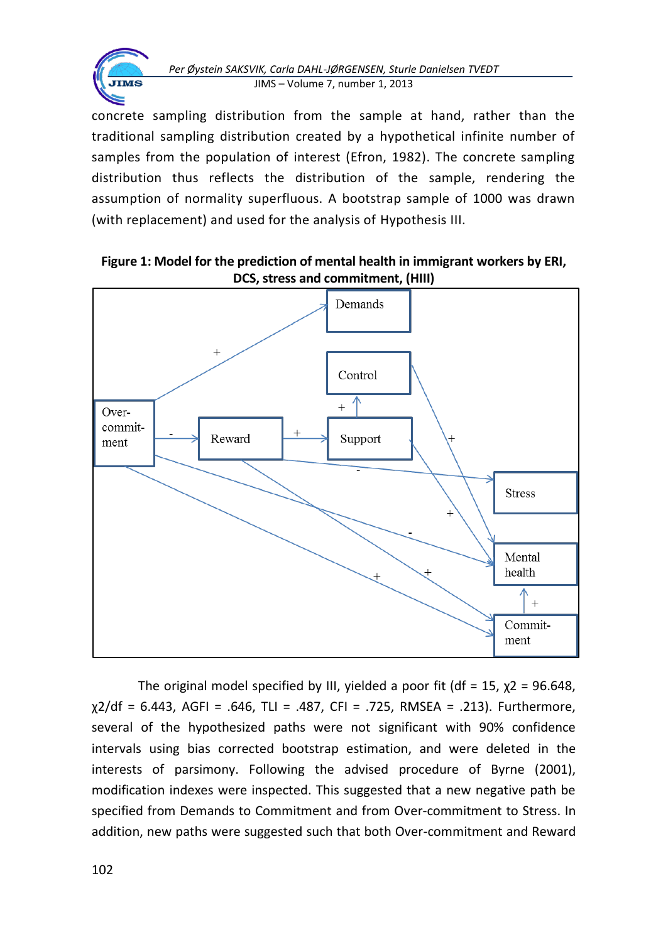

concrete sampling distribution from the sample at hand, rather than the traditional sampling distribution created by a hypothetical infinite number of samples from the population of interest (Efron, 1982). The concrete sampling distribution thus reflects the distribution of the sample, rendering the assumption of normality superfluous. A bootstrap sample of 1000 was drawn (with replacement) and used for the analysis of Hypothesis III.

**Figure 1: Model for the prediction of mental health in immigrant workers by ERI, DCS, stress and commitment, (HIII)**



The original model specified by III, yielded a poor fit (df = 15,  $\chi$ 2 = 96.648, χ2/df = 6.443, AGFI = .646, TLI = .487, CFI = .725, RMSEA = .213). Furthermore, several of the hypothesized paths were not significant with 90% confidence intervals using bias corrected bootstrap estimation, and were deleted in the interests of parsimony. Following the advised procedure of Byrne (2001), modification indexes were inspected. This suggested that a new negative path be specified from Demands to Commitment and from Over-commitment to Stress. In addition, new paths were suggested such that both Over-commitment and Reward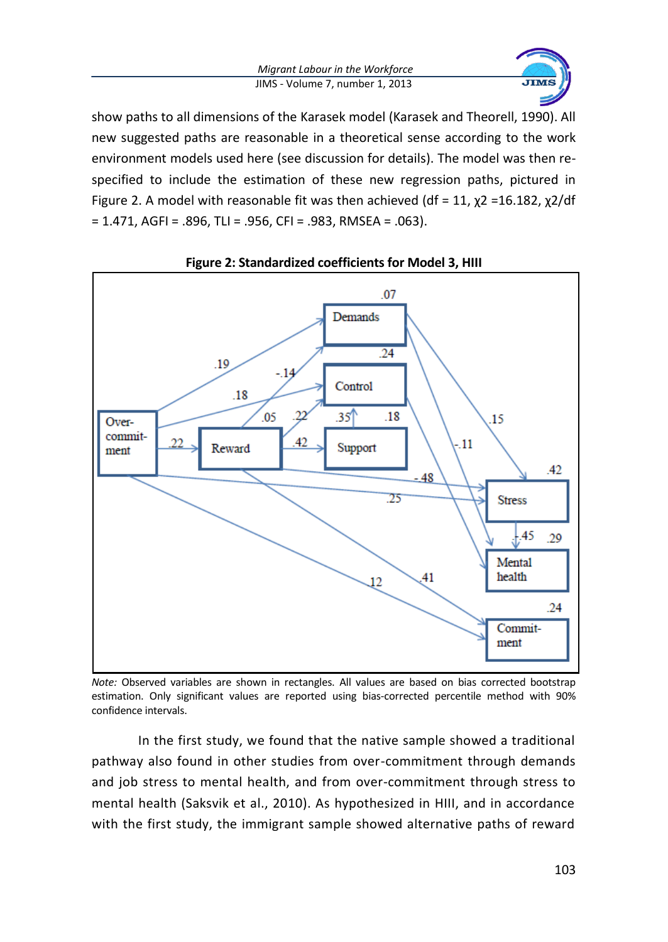

show paths to all dimensions of the Karasek model (Karasek and Theorell, 1990). All new suggested paths are reasonable in a theoretical sense according to the work environment models used here (see discussion for details). The model was then respecified to include the estimation of these new regression paths, pictured in Figure 2. A model with reasonable fit was then achieved (df = 11,  $\chi$ 2 = 16.182,  $\chi$ 2/df  $= 1.471$ , AGFI = .896, TLI = .956, CFI = .983, RMSEA = .063).



## **Figure 2: Standardized coefficients for Model 3, HIII**

*Note:* Observed variables are shown in rectangles. All values are based on bias corrected bootstrap estimation. Only significant values are reported using bias-corrected percentile method with 90% confidence intervals.

In the first study, we found that the native sample showed a traditional pathway also found in other studies from over-commitment through demands and job stress to mental health, and from over-commitment through stress to mental health (Saksvik et al., 2010). As hypothesized in HIII, and in accordance with the first study, the immigrant sample showed alternative paths of reward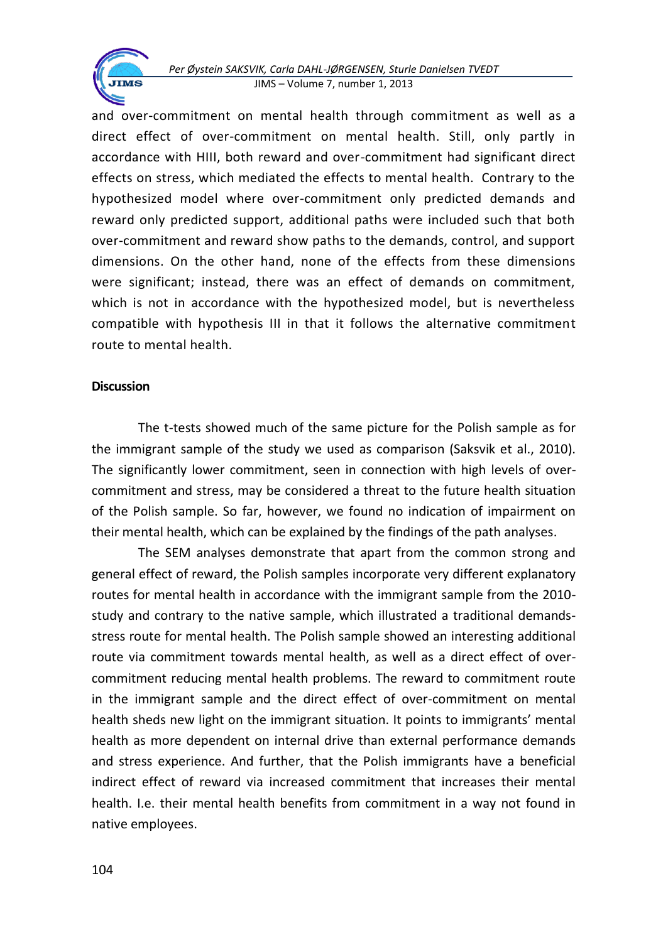and over-commitment on mental health through commitment as well as a direct effect of over-commitment on mental health. Still, only partly in accordance with HIII, both reward and over-commitment had significant direct effects on stress, which mediated the effects to mental health. Contrary to the hypothesized model where over-commitment only predicted demands and reward only predicted support, additional paths were included such that both over-commitment and reward show paths to the demands, control, and support dimensions. On the other hand, none of the effects from these dimensions were significant; instead, there was an effect of demands on commitment, which is not in accordance with the hypothesized model, but is nevertheless compatible with hypothesis III in that it follows the alternative commitment route to mental health.

## **Discussion**

**JIMS** 

The t-tests showed much of the same picture for the Polish sample as for the immigrant sample of the study we used as comparison (Saksvik et al., 2010). The significantly lower commitment, seen in connection with high levels of overcommitment and stress, may be considered a threat to the future health situation of the Polish sample. So far, however, we found no indication of impairment on their mental health, which can be explained by the findings of the path analyses.

The SEM analyses demonstrate that apart from the common strong and general effect of reward, the Polish samples incorporate very different explanatory routes for mental health in accordance with the immigrant sample from the 2010 study and contrary to the native sample, which illustrated a traditional demandsstress route for mental health. The Polish sample showed an interesting additional route via commitment towards mental health, as well as a direct effect of overcommitment reducing mental health problems. The reward to commitment route in the immigrant sample and the direct effect of over-commitment on mental health sheds new light on the immigrant situation. It points to immigrants' mental health as more dependent on internal drive than external performance demands and stress experience. And further, that the Polish immigrants have a beneficial indirect effect of reward via increased commitment that increases their mental health. I.e. their mental health benefits from commitment in a way not found in native employees.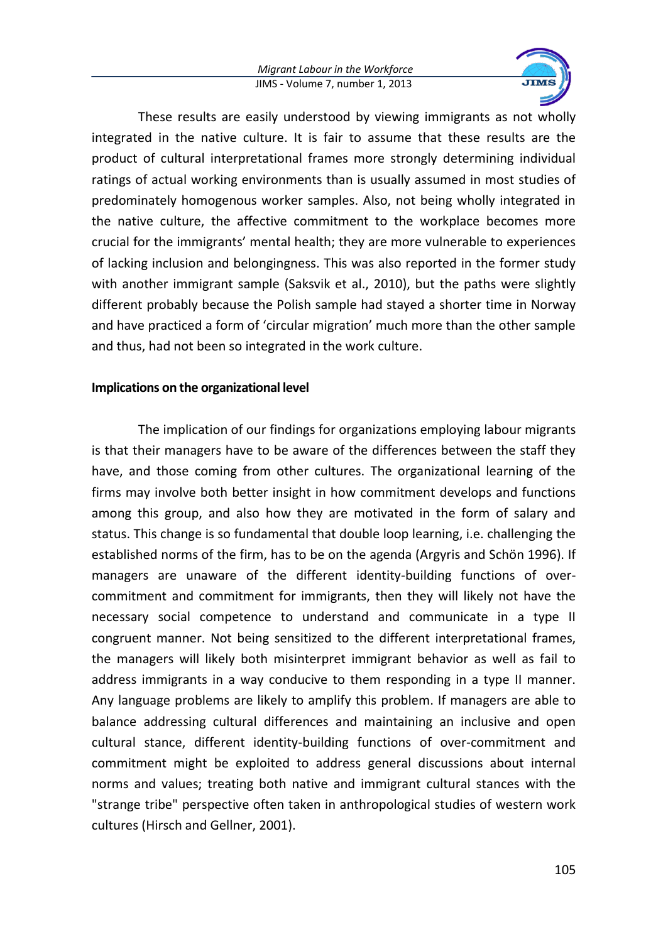

These results are easily understood by viewing immigrants as not wholly integrated in the native culture. It is fair to assume that these results are the product of cultural interpretational frames more strongly determining individual ratings of actual working environments than is usually assumed in most studies of predominately homogenous worker samples. Also, not being wholly integrated in the native culture, the affective commitment to the workplace becomes more crucial for the immigrants' mental health; they are more vulnerable to experiences of lacking inclusion and belongingness. This was also reported in the former study with another immigrant sample (Saksvik et al., 2010), but the paths were slightly different probably because the Polish sample had stayed a shorter time in Norway and have practiced a form of 'circular migration' much more than the other sample and thus, had not been so integrated in the work culture.

### **Implications on the organizational level**

The implication of our findings for organizations employing labour migrants is that their managers have to be aware of the differences between the staff they have, and those coming from other cultures. The organizational learning of the firms may involve both better insight in how commitment develops and functions among this group, and also how they are motivated in the form of salary and status. This change is so fundamental that double loop learning, i.e. challenging the established norms of the firm, has to be on the agenda (Argyris and Schön 1996). If managers are unaware of the different identity-building functions of overcommitment and commitment for immigrants, then they will likely not have the necessary social competence to understand and communicate in a type II congruent manner. Not being sensitized to the different interpretational frames, the managers will likely both misinterpret immigrant behavior as well as fail to address immigrants in a way conducive to them responding in a type II manner. Any language problems are likely to amplify this problem. If managers are able to balance addressing cultural differences and maintaining an inclusive and open cultural stance, different identity-building functions of over-commitment and commitment might be exploited to address general discussions about internal norms and values; treating both native and immigrant cultural stances with the "strange tribe" perspective often taken in anthropological studies of western work cultures (Hirsch and Gellner, 2001).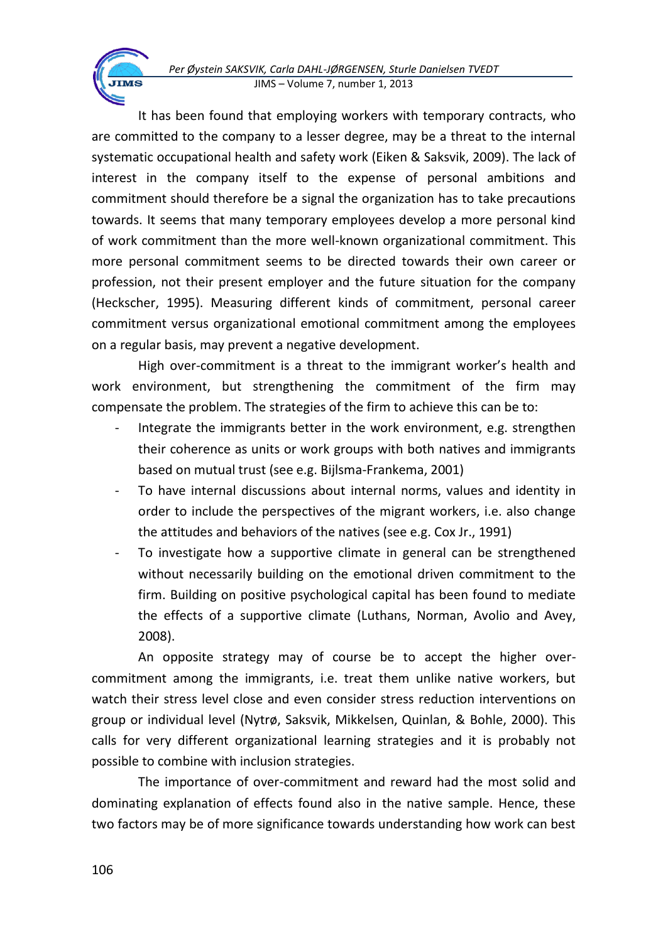It has been found that employing workers with temporary contracts, who are committed to the company to a lesser degree, may be a threat to the internal systematic occupational health and safety work (Eiken & Saksvik, 2009). The lack of interest in the company itself to the expense of personal ambitions and commitment should therefore be a signal the organization has to take precautions towards. It seems that many temporary employees develop a more personal kind of work commitment than the more well-known organizational commitment. This more personal commitment seems to be directed towards their own career or profession, not their present employer and the future situation for the company (Heckscher, 1995). Measuring different kinds of commitment, personal career commitment versus organizational emotional commitment among the employees on a regular basis, may prevent a negative development.

High over-commitment is a threat to the immigrant worker's health and work environment, but strengthening the commitment of the firm may compensate the problem. The strategies of the firm to achieve this can be to:

- Integrate the immigrants better in the work environment, e.g. strengthen their coherence as units or work groups with both natives and immigrants based on mutual trust (see e.g. Bijlsma-Frankema, 2001)
- To have internal discussions about internal norms, values and identity in order to include the perspectives of the migrant workers, i.e. also change the attitudes and behaviors of the natives (see e.g. Cox Jr., 1991)
- To investigate how a supportive climate in general can be strengthened without necessarily building on the emotional driven commitment to the firm. Building on positive psychological capital has been found to mediate the effects of a supportive climate (Luthans, Norman, Avolio and Avey, 2008).

An opposite strategy may of course be to accept the higher overcommitment among the immigrants, i.e. treat them unlike native workers, but watch their stress level close and even consider stress reduction interventions on group or individual level (Nytrø, Saksvik, Mikkelsen, Quinlan, & Bohle, 2000). This calls for very different organizational learning strategies and it is probably not possible to combine with inclusion strategies.

The importance of over-commitment and reward had the most solid and dominating explanation of effects found also in the native sample. Hence, these two factors may be of more significance towards understanding how work can best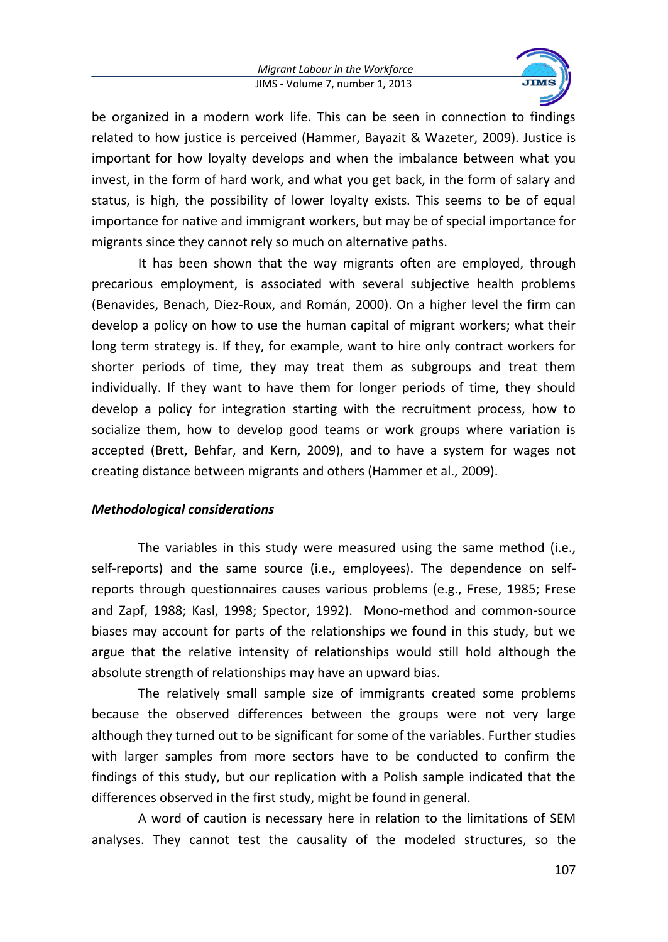

be organized in a modern work life. This can be seen in connection to findings related to how justice is perceived (Hammer, Bayazit & Wazeter, 2009). Justice is important for how loyalty develops and when the imbalance between what you invest, in the form of hard work, and what you get back, in the form of salary and status, is high, the possibility of lower loyalty exists. This seems to be of equal importance for native and immigrant workers, but may be of special importance for migrants since they cannot rely so much on alternative paths.

It has been shown that the way migrants often are employed, through precarious employment, is associated with several subjective health problems (Benavides, Benach, Diez-Roux, and Román, 2000). On a higher level the firm can develop a policy on how to use the human capital of migrant workers; what their long term strategy is. If they, for example, want to hire only contract workers for shorter periods of time, they may treat them as subgroups and treat them individually. If they want to have them for longer periods of time, they should develop a policy for integration starting with the recruitment process, how to socialize them, how to develop good teams or work groups where variation is accepted (Brett, Behfar, and Kern, 2009), and to have a system for wages not creating distance between migrants and others (Hammer et al., 2009).

### *Methodological considerations*

The variables in this study were measured using the same method (i.e., self-reports) and the same source (i.e., employees). The dependence on selfreports through questionnaires causes various problems (e.g., Frese, 1985; Frese and Zapf, 1988; Kasl, 1998; Spector, 1992). Mono-method and common-source biases may account for parts of the relationships we found in this study, but we argue that the relative intensity of relationships would still hold although the absolute strength of relationships may have an upward bias.

The relatively small sample size of immigrants created some problems because the observed differences between the groups were not very large although they turned out to be significant for some of the variables. Further studies with larger samples from more sectors have to be conducted to confirm the findings of this study, but our replication with a Polish sample indicated that the differences observed in the first study, might be found in general.

A word of caution is necessary here in relation to the limitations of SEM analyses. They cannot test the causality of the modeled structures, so the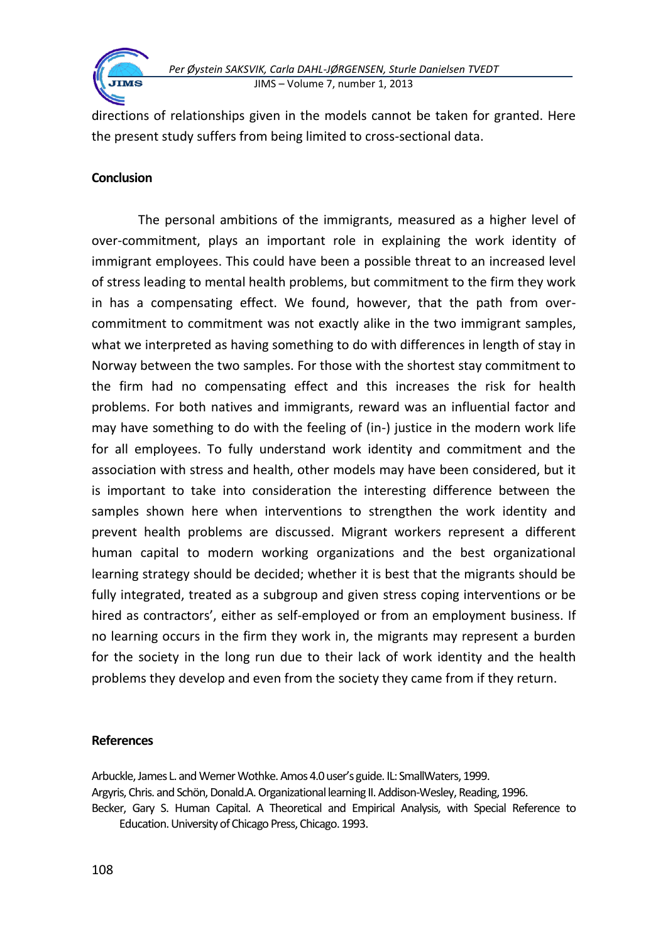

directions of relationships given in the models cannot be taken for granted. Here the present study suffers from being limited to cross-sectional data.

# **Conclusion**

The personal ambitions of the immigrants, measured as a higher level of over-commitment, plays an important role in explaining the work identity of immigrant employees. This could have been a possible threat to an increased level of stress leading to mental health problems, but commitment to the firm they work in has a compensating effect. We found, however, that the path from overcommitment to commitment was not exactly alike in the two immigrant samples, what we interpreted as having something to do with differences in length of stay in Norway between the two samples. For those with the shortest stay commitment to the firm had no compensating effect and this increases the risk for health problems. For both natives and immigrants, reward was an influential factor and may have something to do with the feeling of (in-) justice in the modern work life for all employees. To fully understand work identity and commitment and the association with stress and health, other models may have been considered, but it is important to take into consideration the interesting difference between the samples shown here when interventions to strengthen the work identity and prevent health problems are discussed. Migrant workers represent a different human capital to modern working organizations and the best organizational learning strategy should be decided; whether it is best that the migrants should be fully integrated, treated as a subgroup and given stress coping interventions or be hired as contractors', either as self-employed or from an employment business. If no learning occurs in the firm they work in, the migrants may represent a burden for the society in the long run due to their lack of work identity and the health problems they develop and even from the society they came from if they return.

# **References**

Arbuckle, James L. and Werner Wothke. Amos 4.0 user's guide. IL: SmallWaters, 1999. Argyris, Chris. and Schön, Donald.A. Organizational learning II. Addison-Wesley, Reading, 1996. Becker, Gary S. Human Capital. A Theoretical and Empirical Analysis, with Special Reference to Education. University of Chicago Press, Chicago. 1993.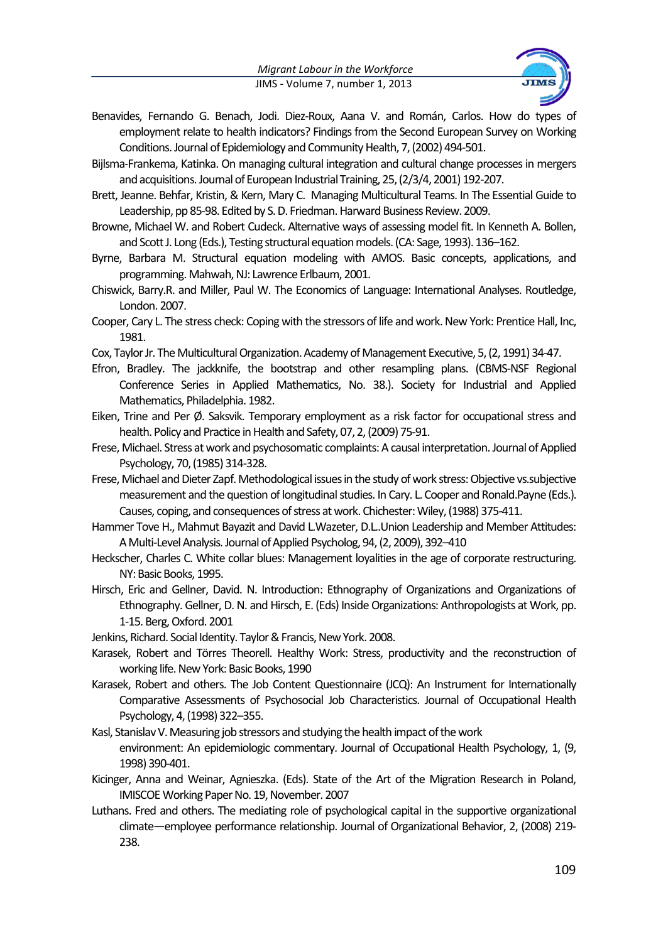

- Benavides, Fernando G. Benach, Jodi. Diez-Roux, Aana V. and Román, Carlos. How do types of employment relate to health indicators? Findings from the Second European Survey on Working Conditions. Journal of Epidemiology and Community Health, 7, (2002) 494-501.
- Bijlsma-Frankema, Katinka. On managing cultural integration and cultural change processes in mergers and acquisitions. Journal of European Industrial Training, 25, (2/3/4, 2001) 192-207.
- Brett, Jeanne. Behfar, Kristin, & Kern, Mary C. Managing Multicultural Teams. In The Essential Guide to Leadership, pp 85-98. Edited by S. D. Friedman. Harward Business Review. 2009.
- Browne, Michael W. and Robert Cudeck. Alternative ways of assessing model fit. In Kenneth A. Bollen, and Scott J. Long (Eds.), Testing structural equation models. (CA: Sage, 1993). 136–162.
- Byrne, Barbara M. Structural equation modeling with AMOS. Basic concepts, applications, and programming. Mahwah, NJ: Lawrence Erlbaum, 2001.
- Chiswick, Barry.R. and Miller, Paul W. The Economics of Language: International Analyses. Routledge, London. 2007.
- Cooper, Cary L. The stress check: Coping with the stressors of life and work. New York: Prentice Hall, Inc, 1981.
- Cox, Taylor Jr. The Multicultural Organization. Academy of Management Executive, 5, (2, 1991) 34-47.
- Efron, Bradley. The jackknife, the bootstrap and other resampling plans. (CBMS-NSF Regional Conference Series in Applied Mathematics, No. 38.). Society for Industrial and Applied Mathematics, Philadelphia. 1982.
- Eiken, Trine and Per Ø. Saksvik. Temporary employment as a risk factor for occupational stress and health. Policy and Practice in Health and Safety, 07, 2, (2009) 75-91.
- Frese, Michael. Stress at work and psychosomatic complaints: A causal interpretation. Journal of Applied Psychology, 70, (1985) 314-328.
- Frese, Michael and Dieter Zapf. Methodological issues in the study of work stress: Objective vs.subjective measurement and the question of longitudinal studies. In Cary. L. Cooper and Ronald.Payne (Eds.). Causes, coping, and consequences of stress at work. Chichester: Wiley, (1988) 375-411.
- Hammer Tove H., Mahmut Bayazit and David L.Wazeter, D.L..Union Leadership and Member Attitudes: A Multi-Level Analysis. Journal of Applied Psycholog, 94, (2, 2009), 392–410
- Heckscher, Charles C. White collar blues: Management loyalities in the age of corporate restructuring. NY: Basic Books, 1995.
- Hirsch, Eric and Gellner, David. N. Introduction: Ethnography of Organizations and Organizations of Ethnography. Gellner, D. N. and Hirsch, E. (Eds) Inside Organizations: Anthropologists at Work, pp. 1-15. Berg, Oxford. 2001
- Jenkins, Richard. Social Identity. Taylor & Francis, New York. 2008.
- Karasek, Robert and Törres Theorell. Healthy Work: Stress, productivity and the reconstruction of working life. New York: Basic Books, 1990
- Karasek, Robert and others. The Job Content Questionnaire (JCQ): An Instrument for Internationally Comparative Assessments of Psychosocial Job Characteristics. Journal of Occupational Health Psychology, 4, (1998) 322–355.
- Kasl, Stanislav V. Measuring job stressors and studying the health impact of the work environment: An epidemiologic commentary. Journal of Occupational Health Psychology, 1, (9, 1998) 390-401.
- Kicinger, Anna and Weinar, Agnieszka. (Eds). State of the Art of the Migration Research in Poland, IMISCOE Working Paper No. 19, November. 2007
- Luthans. Fred and others. The mediating role of psychological capital in the supportive organizational climate—employee performance relationship. Journal of Organizational Behavior, 2, (2008) 219- 238.